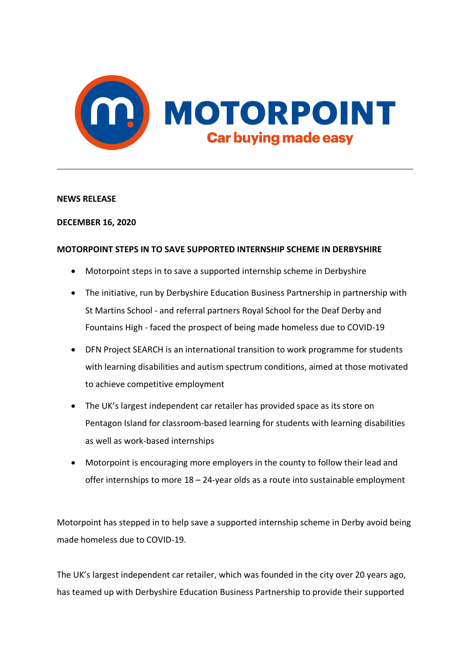

## **NEWS RELEASE**

## **DECEMBER 16, 2020**

## **MOTORPOINT STEPS IN TO SAVE SUPPORTED INTERNSHIP SCHEME IN DERBYSHIRE**

- Motorpoint steps in to save a supported internship scheme in Derbyshire
- The initiative, run by Derbyshire Education Business Partnership in partnership with St Martins School - and referral partners Royal School for the Deaf Derby and Fountains High - faced the prospect of being made homeless due to COVID-19
- DFN Project SEARCH is an international transition to work programme for students with learning disabilities and autism spectrum conditions, aimed at those motivated to achieve competitive employment
- The UK's largest independent car retailer has provided space as its store on Pentagon Island for classroom-based learning for students with learning disabilities as well as work-based internships
- Motorpoint is encouraging more employers in the county to follow their lead and offer internships to more  $18 - 24$ -year olds as a route into sustainable employment

Motorpoint has stepped in to help save a supported internship scheme in Derby avoid being made homeless due to COVID-19.

The UK's largest independent car retailer, which was founded in the city over 20 years ago, has teamed up with Derbyshire Education Business Partnership to provide their supported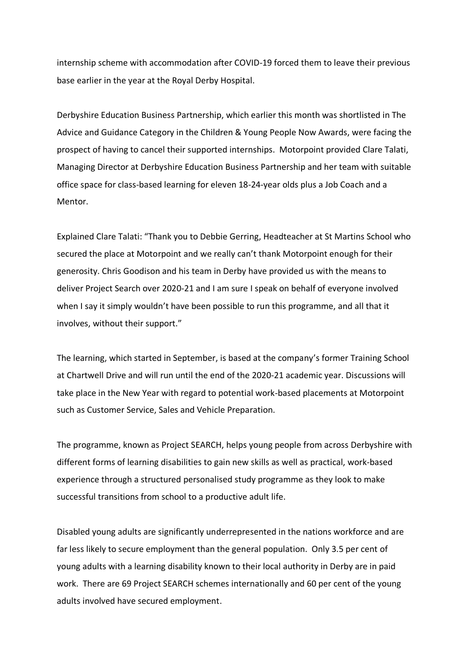internship scheme with accommodation after COVID-19 forced them to leave their previous base earlier in the year at the Royal Derby Hospital.

Derbyshire Education Business Partnership, which earlier this month was shortlisted in The Advice and Guidance Category in the Children & Young People Now Awards, were facing the prospect of having to cancel their supported internships. Motorpoint provided Clare Talati, Managing Director at Derbyshire Education Business Partnership and her team with suitable office space for class-based learning for eleven 18-24-year olds plus a Job Coach and a Mentor.

Explained Clare Talati: "Thank you to Debbie Gerring, Headteacher at St Martins School who secured the place at Motorpoint and we really can't thank Motorpoint enough for their generosity. Chris Goodison and his team in Derby have provided us with the means to deliver Project Search over 2020-21 and I am sure I speak on behalf of everyone involved when I say it simply wouldn't have been possible to run this programme, and all that it involves, without their support."

The learning, which started in September, is based at the company's former Training School at Chartwell Drive and will run until the end of the 2020-21 academic year. Discussions will take place in the New Year with regard to potential work-based placements at Motorpoint such as Customer Service, Sales and Vehicle Preparation.

The programme, known as Project SEARCH, helps young people from across Derbyshire with different forms of learning disabilities to gain new skills as well as practical, work-based experience through a structured personalised study programme as they look to make successful transitions from school to a productive adult life.

Disabled young adults are significantly underrepresented in the nations workforce and are far less likely to secure employment than the general population. Only 3.5 per cent of young adults with a learning disability known to their local authority in Derby are in paid work. There are 69 Project SEARCH schemes internationally and 60 per cent of the young adults involved have secured employment.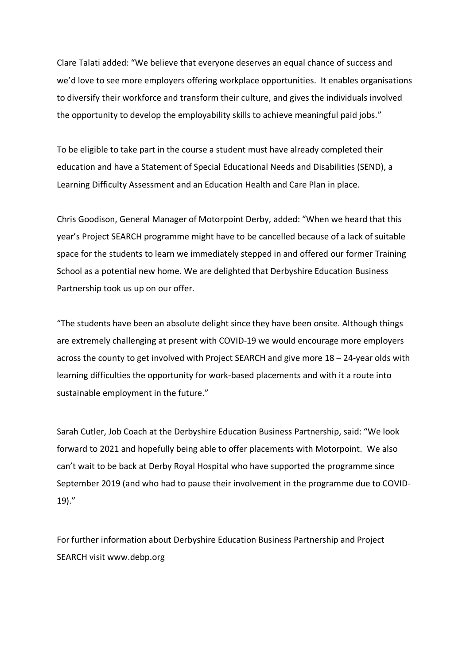Clare Talati added: "We believe that everyone deserves an equal chance of success and we'd love to see more employers offering workplace opportunities. It enables organisations to diversify their workforce and transform their culture, and gives the individuals involved the opportunity to develop the employability skills to achieve meaningful paid jobs."

To be eligible to take part in the course a student must have already completed their education and have a Statement of Special Educational Needs and Disabilities (SEND), a Learning Difficulty Assessment and an Education Health and Care Plan in place.

Chris Goodison, General Manager of Motorpoint Derby, added: "When we heard that this year's Project SEARCH programme might have to be cancelled because of a lack of suitable space for the students to learn we immediately stepped in and offered our former Training School as a potential new home. We are delighted that Derbyshire Education Business Partnership took us up on our offer.

"The students have been an absolute delight since they have been onsite. Although things are extremely challenging at present with COVID-19 we would encourage more employers across the county to get involved with Project SEARCH and give more 18 – 24-year olds with learning difficulties the opportunity for work-based placements and with it a route into sustainable employment in the future."

Sarah Cutler, Job Coach at the Derbyshire Education Business Partnership, said: "We look forward to 2021 and hopefully being able to offer placements with Motorpoint. We also can't wait to be back at Derby Royal Hospital who have supported the programme since September 2019 (and who had to pause their involvement in the programme due to COVID-19)."

For further information about Derbyshire Education Business Partnership and Project SEARCH visit www.debp.org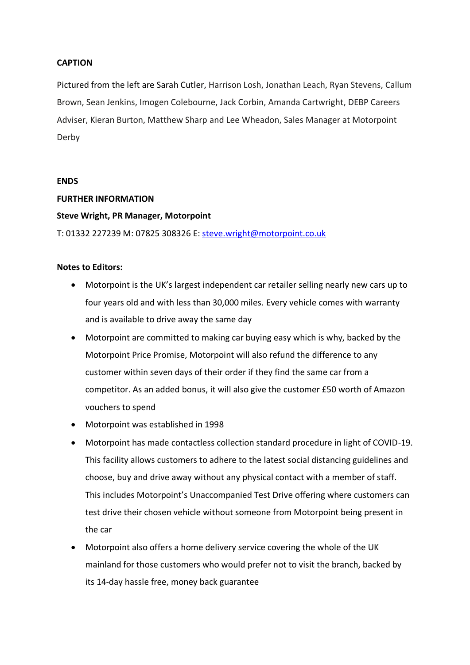## **CAPTION**

Pictured from the left are Sarah Cutler, Harrison Losh, Jonathan Leach, Ryan Stevens, Callum Brown, Sean Jenkins, Imogen Colebourne, Jack Corbin, Amanda Cartwright, DEBP Careers Adviser, Kieran Burton, Matthew Sharp and Lee Wheadon, Sales Manager at Motorpoint Derby

#### **ENDS**

## **FURTHER INFORMATION**

## **Steve Wright, PR Manager, Motorpoint**

T: 01332 227239 M: 07825 308326 E: [steve.wright@motorpoint.co.uk](mailto:steve.wright@motorpoint.co.uk)

## **Notes to Editors:**

- Motorpoint is the UK's largest independent car retailer selling nearly new cars up to four years old and with less than 30,000 miles. Every vehicle comes with warranty and is available to drive away the same day
- Motorpoint are committed to making car buying easy which is why, backed by the Motorpoint Price Promise, Motorpoint will also refund the difference to any customer within seven days of their order if they find the same car from a competitor. As an added bonus, it will also give the customer £50 worth of Amazon vouchers to spend
- Motorpoint was established in 1998
- Motorpoint has made contactless collection standard procedure in light of COVID-19. This facility allows customers to adhere to the latest social distancing guidelines and choose, buy and drive away without any physical contact with a member of staff. This includes Motorpoint's Unaccompanied Test Drive offering where customers can test drive their chosen vehicle without someone from Motorpoint being present in the car
- Motorpoint also offers a home delivery service covering the whole of the UK mainland for those customers who would prefer not to visit the branch, backed by its 14-day hassle free, money back guarantee